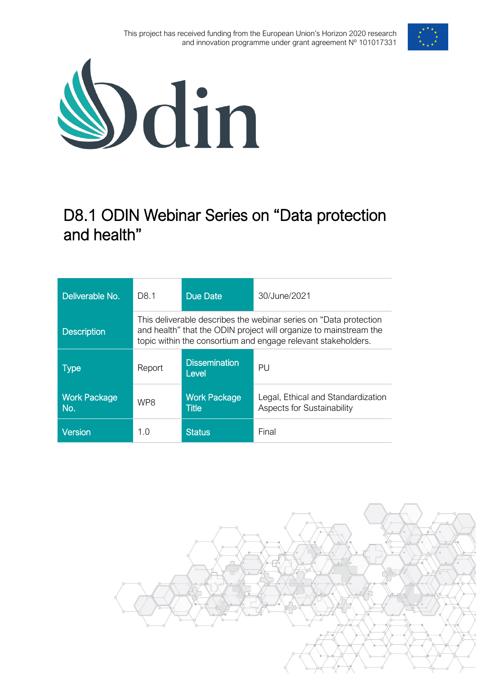



# D8.1 ODIN Webinar Series on "Data protection and health"

| Deliverable No.            | D <sub>8</sub> .1                                                                                                                                                                                        | Due Date                            | 30/June/2021                                                            |
|----------------------------|----------------------------------------------------------------------------------------------------------------------------------------------------------------------------------------------------------|-------------------------------------|-------------------------------------------------------------------------|
| <b>Description</b>         | This deliverable describes the webinar series on "Data protection"<br>and health" that the ODIN project will organize to mainstream the<br>topic within the consortium and engage relevant stakeholders. |                                     |                                                                         |
| <b>Type</b>                | Report                                                                                                                                                                                                   | <b>Dissemination</b><br>Level       | PU                                                                      |
| <b>Work Package</b><br>No. | WP8                                                                                                                                                                                                      | <b>Work Package</b><br><b>Title</b> | Legal, Ethical and Standardization<br><b>Aspects for Sustainability</b> |
| <b>Version</b>             | 1.0                                                                                                                                                                                                      | <b>Status</b>                       | Final                                                                   |

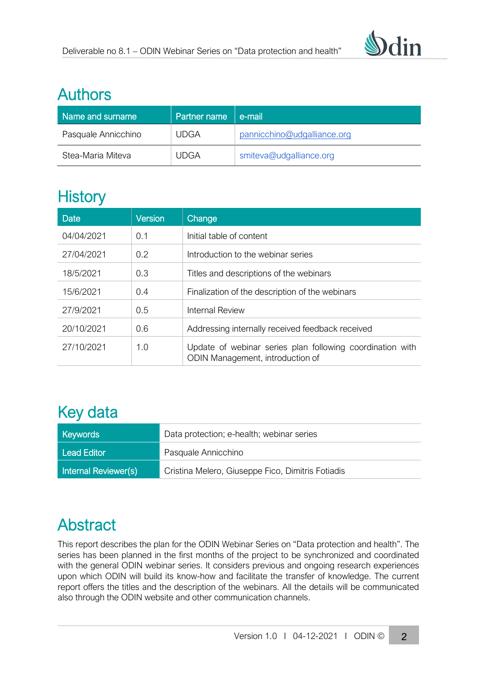

## Authors

| Name and surname    | Partner name | e-mail                      |
|---------------------|--------------|-----------------------------|
| Pasquale Annicchino | <b>UDGA</b>  | pannicchino@udgalliance.org |
| Stea-Maria Miteva   | <b>UDGA</b>  | smiteva@udgalliance.org     |

# **History**

| Date       | <b>Version</b> | Change                                                                                        |
|------------|----------------|-----------------------------------------------------------------------------------------------|
| 04/04/2021 | 0.1            | Initial table of content                                                                      |
| 27/04/2021 | 0.2            | Introduction to the webinar series                                                            |
| 18/5/2021  | 0.3            | Titles and descriptions of the webinars                                                       |
| 15/6/2021  | 0.4            | Finalization of the description of the webinars                                               |
| 27/9/2021  | 0.5            | Internal Review                                                                               |
| 20/10/2021 | 0.6            | Addressing internally received feedback received                                              |
| 27/10/2021 | 1.0            | Update of webinar series plan following coordination with<br>ODIN Management, introduction of |

# Key data

| <b>Keywords</b>      | Data protection; e-health; webinar series         |  |
|----------------------|---------------------------------------------------|--|
| <b>Lead Editor</b>   | Pasquale Annicchino                               |  |
| Internal Reviewer(s) | Cristina Melero, Giuseppe Fico, Dimitris Fotiadis |  |

# Abstract

This report describes the plan for the ODIN Webinar Series on "Data protection and health". The series has been planned in the first months of the project to be synchronized and coordinated with the general ODIN webinar series. It considers previous and ongoing research experiences upon which ODIN will build its know-how and facilitate the transfer of knowledge. The current report offers the titles and the description of the webinars. All the details will be communicated also through the ODIN website and other communication channels.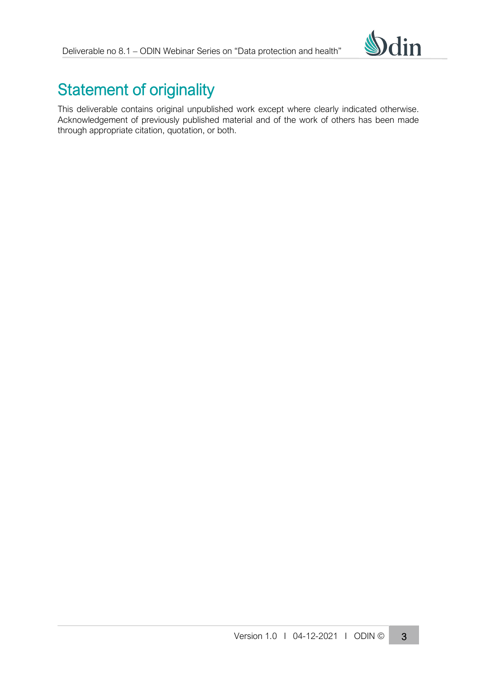

# Statement of originality

This deliverable contains original unpublished work except where clearly indicated otherwise. Acknowledgement of previously published material and of the work of others has been made through appropriate citation, quotation, or both.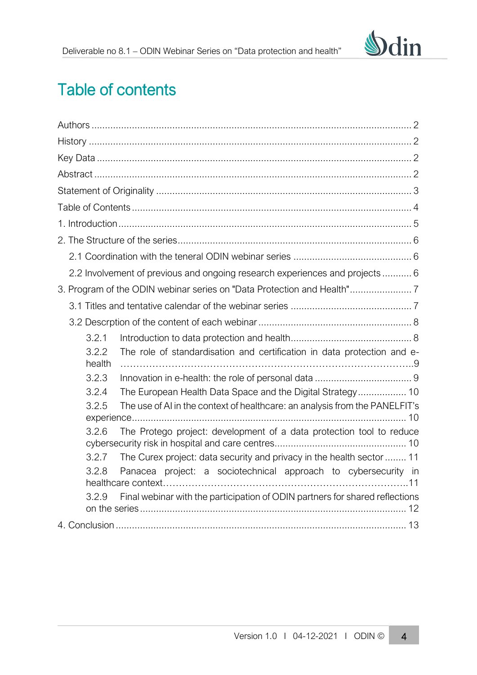

# <span id="page-3-0"></span>Table of contents

<span id="page-3-1"></span>

|                 | 2.2 Involvement of previous and ongoing research experiences and projects  6 |
|-----------------|------------------------------------------------------------------------------|
|                 |                                                                              |
|                 |                                                                              |
|                 |                                                                              |
| 3.2.1           |                                                                              |
| 3.2.2<br>health | The role of standardisation and certification in data protection and e-      |
| 3.2.3           |                                                                              |
| 3.2.4           | The European Health Data Space and the Digital Strategy 10                   |
| 3.2.5           | The use of AI in the context of healthcare: an analysis from the PANELFIT's  |
| 3.2.6           | The Protego project: development of a data protection tool to reduce         |
| 3.2.7           | The Curex project: data security and privacy in the health sector  11        |
| 3.2.8           | Panacea project: a sociotechnical approach to cybersecurity in               |
| 3.2.9           | Final webinar with the participation of ODIN partners for shared reflections |
|                 |                                                                              |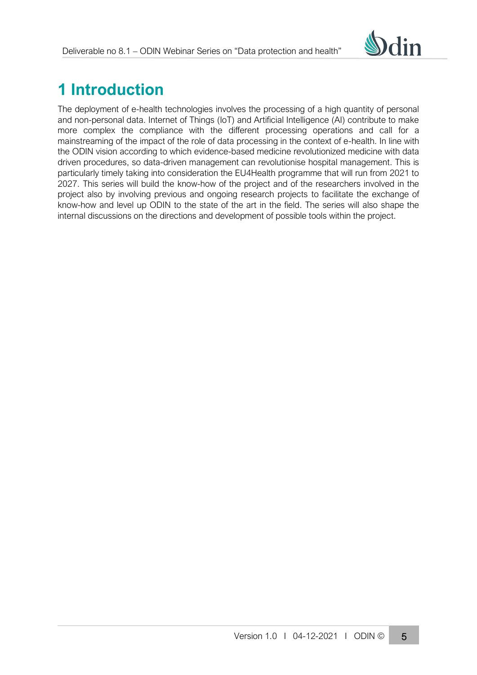

# **1 Introduction**

The deployment of e-health technologies involves the processing of a high quantity of personal and non-personal data. Internet of Things (IoT) and Artificial Intelligence (AI) contribute to make more complex the compliance with the different processing operations and call for a mainstreaming of the impact of the role of data processing in the context of e-health. In line with the ODIN vision according to which evidence-based medicine revolutionized medicine with data driven procedures, so data-driven management can revolutionise hospital management. This is particularly timely taking into consideration the EU4Health programme that will run from 2021 to 2027. This series will build the know-how of the project and of the researchers involved in the project also by involving previous and ongoing research projects to facilitate the exchange of know-how and level up ODIN to the state of the art in the field. The series will also shape the internal discussions on the directions and development of possible tools within the project.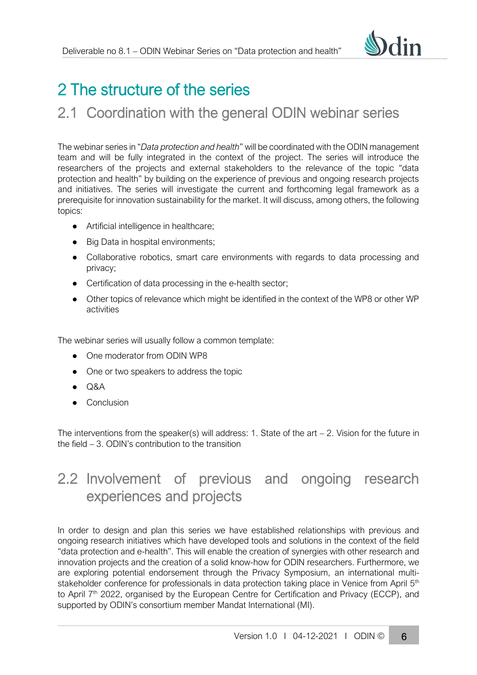

# 2 The structure of the series

## 2.1 Coordination with the general ODIN webinar series

The webinar series in "*Data protection and health*" will be coordinated with the ODIN management team and will be fully integrated in the context of the project. The series will introduce the researchers of the projects and external stakeholders to the relevance of the topic "data protection and health" by building on the experience of previous and ongoing research projects and initiatives. The series will investigate the current and forthcoming legal framework as a prerequisite for innovation sustainability for the market. It will discuss, among others, the following topics:

- Artificial intelligence in healthcare;
- Big Data in hospital environments;
- Collaborative robotics, smart care environments with regards to data processing and privacy;
- Certification of data processing in the e-health sector;
- Other topics of relevance which might be identified in the context of the WP8 or other WP activities

The webinar series will usually follow a common template:

- One moderator from ODIN WP8
- One or two speakers to address the topic
- $\bullet$  Q&A
- Conclusion

The interventions from the speaker(s) will address: 1. State of the art  $-$  2. Vision for the future in the field – 3. ODIN's contribution to the transition

## 2.2 Involvement of previous and ongoing research experiences and projects

In order to design and plan this series we have established relationships with previous and ongoing research initiatives which have developed tools and solutions in the context of the field "data protection and e-health". This will enable the creation of synergies with other research and innovation projects and the creation of a solid know-how for ODIN researchers. Furthermore, we are exploring potential endorsement through the Privacy Symposium, an international multistakeholder conference for professionals in data protection taking place in Venice from April 5<sup>th</sup> to April 7<sup>th</sup> 2022, organised by the European Centre for Certification and Privacy (ECCP), and supported by ODIN's consortium member Mandat International (MI).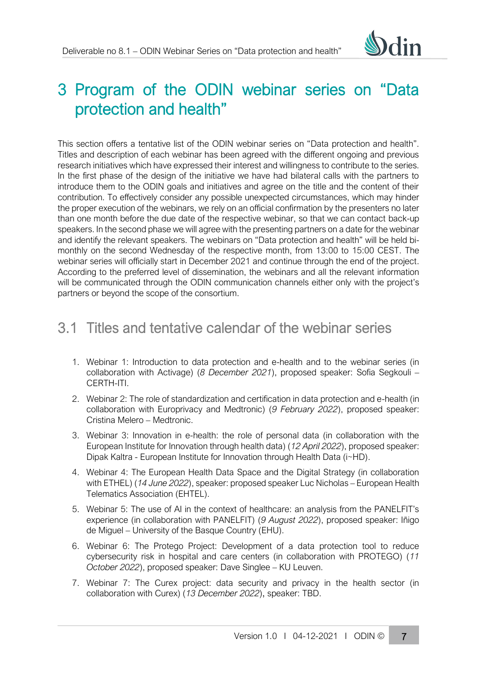# 3 Program of the ODIN webinar series on "Data protection and health"

This section offers a tentative list of the ODIN webinar series on "Data protection and health". Titles and description of each webinar has been agreed with the different ongoing and previous research initiatives which have expressed their interest and willingness to contribute to the series. In the first phase of the design of the initiative we have had bilateral calls with the partners to introduce them to the ODIN goals and initiatives and agree on the title and the content of their contribution. To effectively consider any possible unexpected circumstances, which may hinder the proper execution of the webinars, we rely on an official confirmation by the presenters no later than one month before the due date of the respective webinar, so that we can contact back-up speakers. In the second phase we will agree with the presenting partners on a date for the webinar and identify the relevant speakers. The webinars on "Data protection and health" will be held bimonthly on the second Wednesday of the respective month, from 13:00 to 15:00 CEST. The webinar series will officially start in December 2021 and continue through the end of the project. According to the preferred level of dissemination, the webinars and all the relevant information will be communicated through the ODIN communication channels either only with the project's partners or beyond the scope of the consortium.

## 3.1 Titles and tentative calendar of the webinar series

- 1. Webinar 1: Introduction to data protection and e-health and to the webinar series (in collaboration with Activage) (*8 December 2021*), proposed speaker: Sofia Segkouli – CERTH-ITI.
- 2. Webinar 2: The role of standardization and certification in data protection and e-health (in collaboration with Europrivacy and Medtronic) (*9 February 2022*), proposed speaker: Cristina Melero – Medtronic.
- 3. Webinar 3: Innovation in e-health: the role of personal data (in collaboration with the European Institute for Innovation through health data) (*12 April 2022*), proposed speaker: Dipak Kaltra - European Institute for Innovation through Health Data (i~HD).
- 4. Webinar 4: The European Health Data Space and the Digital Strategy (in collaboration with ETHEL) (*14 June 2022*), speaker: proposed speaker Luc Nicholas – European Health Telematics Association (EHTEL).
- 5. Webinar 5: The use of AI in the context of healthcare: an analysis from the PANELFIT's experience (in collaboration with PANELFIT) (*9 August 2022*), proposed speaker: Iñigo de Miguel – University of the Basque Country (EHU).
- 6. Webinar 6: The Protego Project: Development of a data protection tool to reduce cybersecurity risk in hospital and care centers (in collaboration with PROTEGO) (*11 October 2022*), proposed speaker: Dave Singlee – KU Leuven.
- 7. Webinar 7: The Curex project: data security and privacy in the health sector (in collaboration with Curex) (*13 December 2022*), speaker: TBD.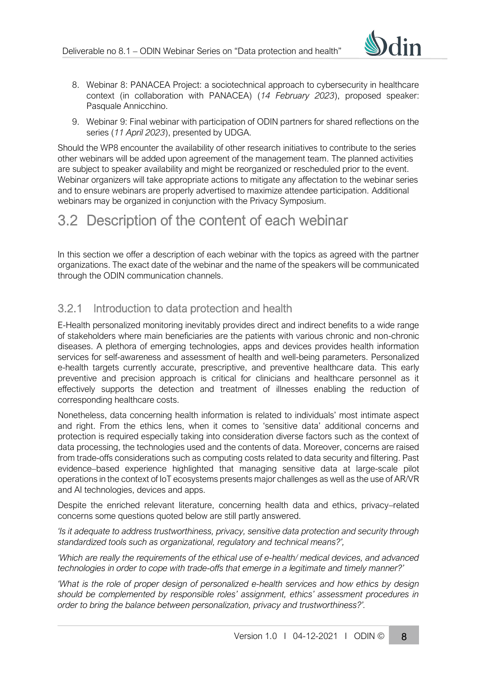

- 8. Webinar 8: PANACEA Project: a sociotechnical approach to cybersecurity in healthcare context (in collaboration with PANACEA) (*14 February 2023*), proposed speaker: Pasquale Annicchino.
- 9. Webinar 9: Final webinar with participation of ODIN partners for shared reflections on the series (*11 April 2023*), presented by UDGA.

Should the WP8 encounter the availability of other research initiatives to contribute to the series other webinars will be added upon agreement of the management team. The planned activities are subject to speaker availability and might be reorganized or rescheduled prior to the event. Webinar organizers will take appropriate actions to mitigate any affectation to the webinar series and to ensure webinars are properly advertised to maximize attendee participation. Additional webinars may be organized in conjunction with the Privacy Symposium.

## 3.2 Description of the content of each webinar

In this section we offer a description of each webinar with the topics as agreed with the partner organizations. The exact date of the webinar and the name of the speakers will be communicated through the ODIN communication channels.

## <span id="page-7-0"></span>3.2.1 Introduction to data protection and health

E-Health personalized monitoring inevitably provides direct and indirect benefits to a wide range of stakeholders where main beneficiaries are the patients with various chronic and non-chronic diseases. A plethora of emerging technologies, apps and devices provides health information services for self-awareness and assessment of health and well-being parameters. Personalized e-health targets currently accurate, prescriptive, and preventive healthcare data. This early preventive and precision approach is critical for clinicians and healthcare personnel as it effectively supports the detection and treatment of illnesses enabling the reduction of corresponding healthcare costs.

Nonetheless, data concerning health information is related to individuals' most intimate aspect and right. From the ethics lens, when it comes to 'sensitive data' additional concerns and protection is required especially taking into consideration diverse factors such as the context of data processing, the technologies used and the contents of data. Moreover, concerns are raised from trade-offs considerations such as computing costs related to data security and filtering. Past evidence–based experience highlighted that managing sensitive data at large-scale pilot operations in the context of IoT ecosystems presents major challenges as well as the use of AR/VR and AI technologies, devices and apps.

Despite the enriched relevant literature, concerning health data and ethics, privacy–related concerns some questions quoted below are still partly answered.

*'Is it adequate to address trustworthiness, privacy, sensitive data protection and security through standardized tools such as organizational, regulatory and technical means?',* 

*'Which are really the requirements of the ethical use of e-health/ medical devices, and advanced technologies in order to cope with trade-offs that emerge in a legitimate and timely manner?'* 

*'What is the role of proper design of personalized e-health services and how ethics by design should be complemented by responsible roles' assignment, ethics' assessment procedures in order to bring the balance between personalization, privacy and trustworthiness?'.*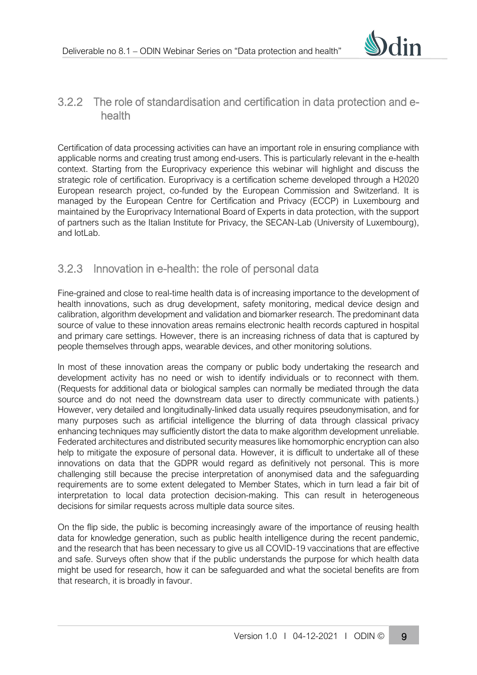

#### <span id="page-8-0"></span>3.2.2 The role of standardisation and certification in data protection and ehealth

Certification of data processing activities can have an important role in ensuring compliance with applicable norms and creating trust among end-users. This is particularly relevant in the e-health context. Starting from the Europrivacy experience this webinar will highlight and discuss the strategic role of certification. Europrivacy is a certification scheme developed through a H2020 European research project, co-funded by the European Commission and Switzerland. It is managed by the European Centre for Certification and Privacy (ECCP) in Luxembourg and maintained by the Europrivacy International Board of Experts in data protection, with the support of partners such as the Italian Institute for Privacy, the SECAN-Lab (University of Luxembourg), and IotLab.

#### <span id="page-8-1"></span>3.2.3 Innovation in e-health: the role of personal data

Fine-grained and close to real-time health data is of increasing importance to the development of health innovations, such as drug development, safety monitoring, medical device design and calibration, algorithm development and validation and biomarker research. The predominant data source of value to these innovation areas remains electronic health records captured in hospital and primary care settings. However, there is an increasing richness of data that is captured by people themselves through apps, wearable devices, and other monitoring solutions.

In most of these innovation areas the company or public body undertaking the research and development activity has no need or wish to identify individuals or to reconnect with them. (Requests for additional data or biological samples can normally be mediated through the data source and do not need the downstream data user to directly communicate with patients.) However, very detailed and longitudinally-linked data usually requires pseudonymisation, and for many purposes such as artificial intelligence the blurring of data through classical privacy enhancing techniques may sufficiently distort the data to make algorithm development unreliable. Federated architectures and distributed security measures like homomorphic encryption can also help to mitigate the exposure of personal data. However, it is difficult to undertake all of these innovations on data that the GDPR would regard as definitively not personal. This is more challenging still because the precise interpretation of anonymised data and the safeguarding requirements are to some extent delegated to Member States, which in turn lead a fair bit of interpretation to local data protection decision-making. This can result in heterogeneous decisions for similar requests across multiple data source sites.

On the flip side, the public is becoming increasingly aware of the importance of reusing health data for knowledge generation, such as public health intelligence during the recent pandemic, and the research that has been necessary to give us all COVID-19 vaccinations that are effective and safe. Surveys often show that if the public understands the purpose for which health data might be used for research, how it can be safeguarded and what the societal benefits are from that research, it is broadly in favour.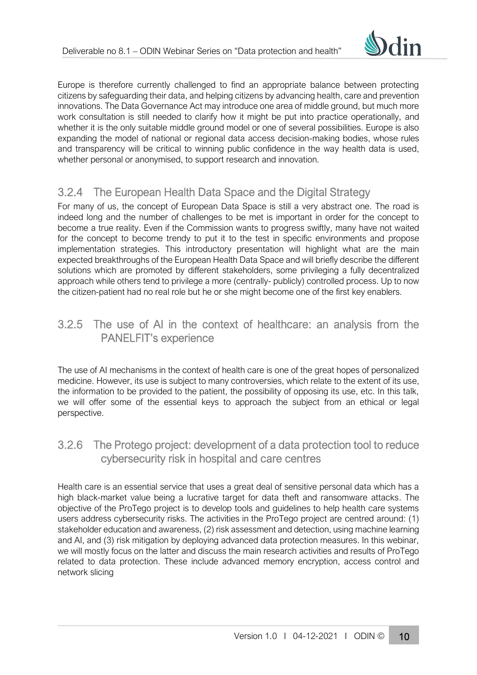

Europe is therefore currently challenged to find an appropriate balance between protecting citizens by safeguarding their data, and helping citizens by advancing health, care and prevention innovations. The Data Governance Act may introduce one area of middle ground, but much more work consultation is still needed to clarify how it might be put into practice operationally, and whether it is the only suitable middle ground model or one of several possibilities. Europe is also expanding the model of national or regional data access decision-making bodies, whose rules and transparency will be critical to winning public confidence in the way health data is used, whether personal or anonymised, to support research and innovation.

## <span id="page-9-0"></span>3.2.4 The European Health Data Space and the Digital Strategy

For many of us, the concept of European Data Space is still a very abstract one. The road is indeed long and the number of challenges to be met is important in order for the concept to become a true reality. Even if the Commission wants to progress swiftly, many have not waited for the concept to become trendy to put it to the test in specific environments and propose implementation strategies. This introductory presentation will highlight what are the main expected breakthroughs of the European Health Data Space and will briefly describe the different solutions which are promoted by different stakeholders, some privileging a fully decentralized approach while others tend to privilege a more (centrally- publicly) controlled process. Up to now the citizen-patient had no real role but he or she might become one of the first key enablers.

#### <span id="page-9-1"></span>3.2.5 The use of AI in the context of healthcare: an analysis from the PANELFIT's experience

The use of AI mechanisms in the context of health care is one of the great hopes of personalized medicine. However, its use is subject to many controversies, which relate to the extent of its use, the information to be provided to the patient, the possibility of opposing its use, etc. In this talk, we will offer some of the essential keys to approach the subject from an ethical or legal perspective.

## <span id="page-9-2"></span>3.2.6 The Protego project: development of a data protection tool to reduce cybersecurity risk in hospital and care centres

Health care is an essential service that uses a great deal of sensitive personal data which has a high black-market value being a lucrative target for data theft and ransomware attacks. The objective of the ProTego project is to develop tools and guidelines to help health care systems users address cybersecurity risks. The activities in the ProTego project are centred around: (1) stakeholder education and awareness, (2) risk assessment and detection, using machine learning and AI, and (3) risk mitigation by deploying advanced data protection measures. In this webinar, we will mostly focus on the latter and discuss the main research activities and results of ProTego related to data protection. These include advanced memory encryption, access control and network slicing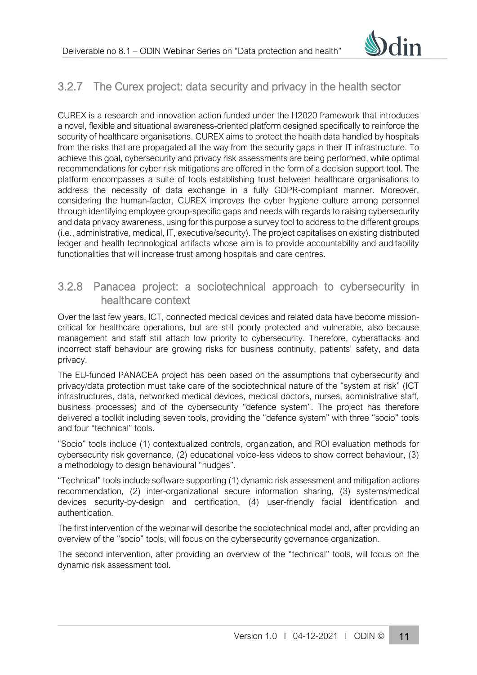

## <span id="page-10-0"></span>3.2.7 The Curex project: data security and privacy in the health sector

CUREX is a research and innovation action funded under the H2020 framework that introduces a novel, flexible and situational awareness-oriented platform designed specifically to reinforce the security of healthcare organisations. CUREX aims to protect the health data handled by hospitals from the risks that are propagated all the way from the security gaps in their IT infrastructure. To achieve this goal, cybersecurity and privacy risk assessments are being performed, while optimal recommendations for cyber risk mitigations are offered in the form of a decision support tool. The platform encompasses a suite of tools establishing trust between healthcare organisations to address the necessity of data exchange in a fully GDPR-compliant manner. Moreover, considering the human-factor, CUREX improves the cyber hygiene culture among personnel through identifying employee group-specific gaps and needs with regards to raising cybersecurity and data privacy awareness, using for this purpose a survey tool to address to the different groups (i.e., administrative, medical, IT, executive/security). The project capitalises on existing distributed ledger and health technological artifacts whose aim is to provide accountability and auditability functionalities that will increase trust among hospitals and care centres.

#### <span id="page-10-1"></span>3.2.8 Panacea project: a sociotechnical approach to cybersecurity in healthcare context

Over the last few years, ICT, connected medical devices and related data have become missioncritical for healthcare operations, but are still poorly protected and vulnerable, also because management and staff still attach low priority to cybersecurity. Therefore, cyberattacks and incorrect staff behaviour are growing risks for business continuity, patients' safety, and data privacy.

The EU-funded PANACEA project has been based on the assumptions that cybersecurity and privacy/data protection must take care of the sociotechnical nature of the "system at risk" (ICT infrastructures, data, networked medical devices, medical doctors, nurses, administrative staff, business processes) and of the cybersecurity "defence system". The project has therefore delivered a toolkit including seven tools, providing the "defence system" with three "socio" tools and four "technical" tools.

"Socio" tools include (1) contextualized controls, organization, and ROI evaluation methods for cybersecurity risk governance, (2) educational voice-less videos to show correct behaviour, (3) a methodology to design behavioural "nudges".

"Technical" tools include software supporting (1) dynamic risk assessment and mitigation actions recommendation, (2) inter-organizational secure information sharing, (3) systems/medical devices security-by-design and certification, (4) user-friendly facial identification and authentication.

The first intervention of the webinar will describe the sociotechnical model and, after providing an overview of the "socio" tools, will focus on the cybersecurity governance organization.

The second intervention, after providing an overview of the "technical" tools, will focus on the dynamic risk assessment tool.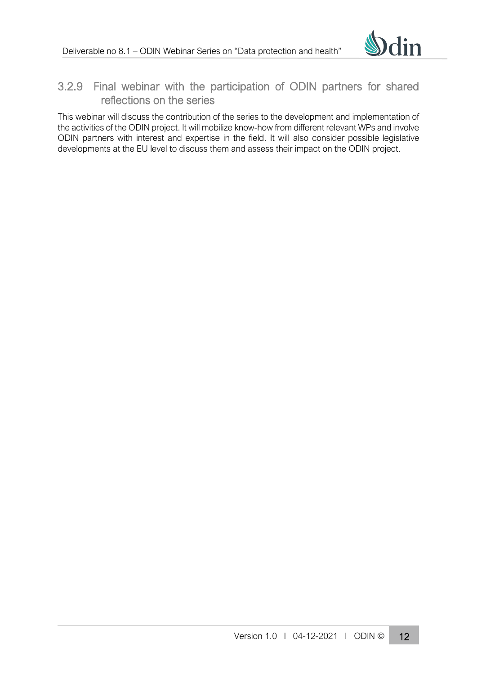

## <span id="page-11-0"></span>3.2.9 Final webinar with the participation of ODIN partners for shared reflections on the series

This webinar will discuss the contribution of the series to the development and implementation of the activities of the ODIN project. It will mobilize know-how from different relevant WPs and involve ODIN partners with interest and expertise in the field. It will also consider possible legislative developments at the EU level to discuss them and assess their impact on the ODIN project.